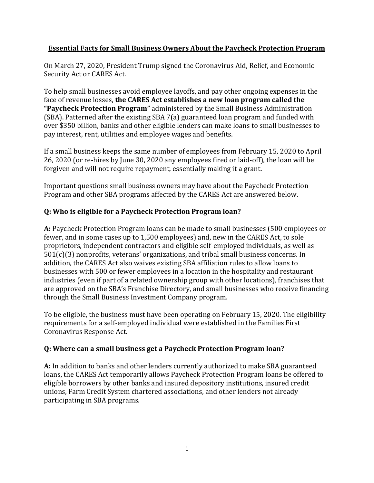### **Essential Facts for Small Business Owners About the Paycheck Protection Program**

On March 27, 2020, President Trump signed the Coronavirus Aid, Relief, and Economic Security Act or CARES Act.

To help small businesses avoid employee layoffs, and pay other ongoing expenses in the face of revenue losses, **the CARES Act establishes a new loan program called the "Paycheck Protection Program"** administered by the Small Business Administration (SBA). Patterned after the existing SBA 7(a) guaranteed loan program and funded with over \$350 billion, banks and other eligible lenders can make loans to small businesses to pay interest, rent, utilities and employee wages and benefits.

If a small business keeps the same number of employees from February 15, 2020 to April 26, 2020 (or re-hires by June 30, 2020 any employees fired or laid-off), the loan will be forgiven and will not require repayment, essentially making it a grant.

Important questions small business owners may have about the Paycheck Protection Program and other SBA programs affected by the CARES Act are answered below.

# **Q: Who is eligible for a Paycheck Protection Program loan?**

**A:** Paycheck Protection Program loans can be made to small businesses (500 employees or fewer, and in some cases up to 1,500 employees) and, new in the CARES Act, to sole proprietors, independent contractors and eligible self-employed individuals, as well as 501(c)(3) nonprofits, veterans' organizations, and tribal small business concerns. In addition, the CARES Act also waives existing SBA affiliation rules to allow loans to businesses with 500 or fewer employees in a location in the hospitality and restaurant industries (even if part of a related ownership group with other locations), franchises that are approved on the SBA's Franchise Directory, and small businesses who receive financing through the Small Business Investment Company program.

To be eligible, the business must have been operating on February 15, 2020. The eligibility requirements for a self-employed individual were established in the Families First Coronavirus Response Act.

# **Q: Where can a small business get a Paycheck Protection Program loan?**

**A:** In addition to banks and other lenders currently authorized to make SBA guaranteed loans, the CARES Act temporarily allows Paycheck Protection Program loans be offered to eligible borrowers by other banks and insured depository institutions, insured credit unions, Farm Credit System chartered associations, and other lenders not already participating in SBA programs.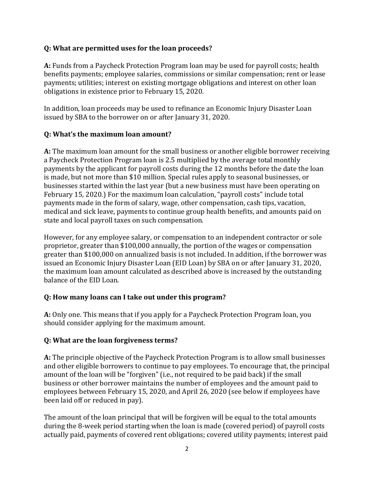#### **Q: What are permitted uses for the loan proceeds?**

**A:** Funds from a Paycheck Protection Program loan may be used for payroll costs; health benefits payments; employee salaries, commissions or similar compensation; rent or lease payments; utilities; interest on existing mortgage obligations and interest on other loan obligations in existence prior to February 15, 2020.

In addition, loan proceeds may be used to refinance an Economic Injury Disaster Loan issued by SBA to the borrower on or after January 31, 2020.

### **Q: What's the maximum loan amount?**

**A:** The maximum loan amount for the small business or another eligible borrower receiving a Paycheck Protection Program loan is 2.5 multiplied by the average total monthly payments by the applicant for payroll costs during the 12 months before the date the loan is made, but not more than \$10 million. Special rules apply to seasonal businesses, or businesses started within the last year (but a new business must have been operating on February 15, 2020.) For the maximum loan calculation, "payroll costs" include total payments made in the form of salary, wage, other compensation, cash tips, vacation, medical and sick leave, payments to continue group health benefits, and amounts paid on state and local payroll taxes on such compensation.

However, for any employee salary, or compensation to an independent contractor or sole proprietor, greater than \$100,000 annually, the portion of the wages or compensation greater than \$100,000 on annualized basis is not included. In addition, if the borrower was issued an Economic Injury Disaster Loan (EID Loan) by SBA on or after January 31, 2020, the maximum loan amount calculated as described above is increased by the outstanding balance of the EID Loan.

### **Q: How many loans can I take out under this program?**

**A:** Only one. This means that if you apply for a Paycheck Protection Program loan, you should consider applying for the maximum amount.

### **Q: What are the loan forgiveness terms?**

**A:** The principle objective of the Paycheck Protection Program is to allow small businesses and other eligible borrowers to continue to pay employees. To encourage that, the principal amount of the loan will be "forgiven" (i.e., not required to be paid back) if the small business or other borrower maintains the number of employees and the amount paid to employees between February 15, 2020, and April 26, 2020 (see below if employees have been laid off or reduced in pay).

The amount of the loan principal that will be forgiven will be equal to the total amounts during the 8-week period starting when the loan is made (covered period) of payroll costs actually paid, payments of covered rent obligations; covered utility payments; interest paid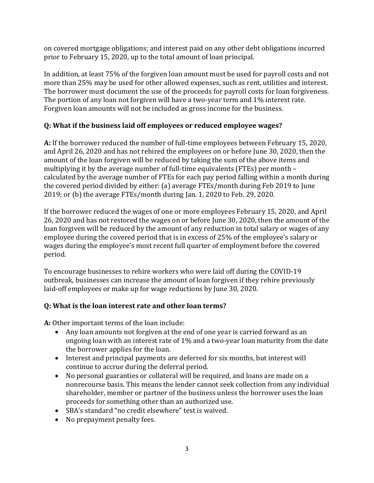on covered mortgage obligations; and interest paid on any other debt obligations incurred prior to February 15, 2020, up to the total amount of loan principal.

In addition, at least 75% of the forgiven loan amount must be used for payroll costs and not more than 25% may be used for other allowed expenses, such as rent, utilities and interest. The borrower must document the use of the proceeds for payroll costs for loan forgiveness. The portion of any loan not forgiven will have a two-year term and 1% interest rate. Forgiven loan amounts will not be included as gross income for the business.

# **Q: What if the business laid off employees or reduced employee wages?**

**A:** If the borrower reduced the number of full-time employees between February 15, 2020, and April 26, 2020 and has not rehired the employees on or before June 30, 2020, then the amount of the loan forgiven will be reduced by taking the sum of the above items and multiplying it by the average number of full-time equivalents (FTEs) per month  $$ calculated by the average number of FTEs for each pay period falling within a month during the covered period divided by either: (a) average FTEs/month during Feb 2019 to June 2019; or (b) the average FTEs/month during Jan. 1, 2020 to Feb. 29, 2020.

If the borrower reduced the wages of one or more employees February 15, 2020, and April 26, 2020 and has not restored the wages on or before June 30, 2020, then the amount of the loan forgiven will be reduced by the amount of any reduction in total salary or wages of any employee during the covered period that is in excess of 25% of the employee's salary or wages during the employee's most recent full quarter of employment before the covered period.

To encourage businesses to rehire workers who were laid off during the COVID-19 outbreak, businesses can increase the amount of loan forgiven if they rehire previously laid-off employees or make up for wage reductions by June 30, 2020.

### **Q: What is the loan interest rate and other loan terms?**

**A:** Other important terms of the loan include:

- Any loan amounts not forgiven at the end of one year is carried forward as an ongoing loan with an interest rate of 1% and a two-year loan maturity from the date the borrower applies for the loan.
- Interest and principal payments are deferred for six months, but interest will continue to accrue during the deferral period.
- No personal guaranties or collateral will be required, and loans are made on a nonrecourse basis. This means the lender cannot seek collection from any individual shareholder, member or partner of the business unless the borrower uses the loan proceeds for something other than an authorized use.
- SBA's standard "no credit elsewhere" test is waived.
- No prepayment penalty fees.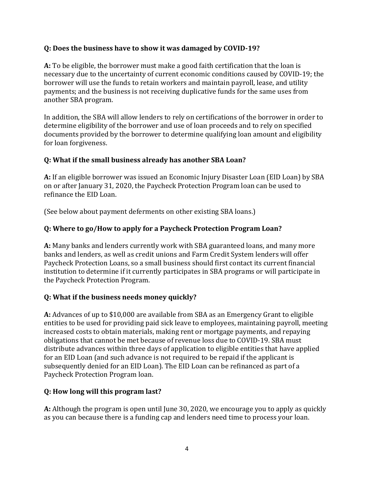### **Q: Does the business have to show it was damaged by COVID-19?**

**A:** To be eligible, the borrower must make a good faith certification that the loan is necessary due to the uncertainty of current economic conditions caused by COVID-19; the borrower will use the funds to retain workers and maintain payroll, lease, and utility payments; and the business is not receiving duplicative funds for the same uses from another SBA program.

In addition, the SBA will allow lenders to rely on certifications of the borrower in order to determine eligibility of the borrower and use of loan proceeds and to rely on specified documents provided by the borrower to determine qualifying loan amount and eligibility for loan forgiveness.

#### **Q: What if the small business already has another SBA Loan?**

**A:** If an eligible borrower was issued an Economic Injury Disaster Loan (EID Loan) by SBA on or after January 31, 2020, the Paycheck Protection Program loan can be used to refinance the EID Loan.

(See below about payment deferments on other existing SBA loans.)

### **Q: Where to go/How to apply for a Paycheck Protection Program Loan?**

**A:** Many banks and lenders currently work with SBA guaranteed loans, and many more banks and lenders, as well as credit unions and Farm Credit System lenders will offer Paycheck Protection Loans, so a small business should first contact its current financial institution to determine if it currently participates in SBA programs or will participate in the Paycheck Protection Program.

### **Q: What if the business needs money quickly?**

**A:** Advances of up to \$10,000 are available from SBA as an Emergency Grant to eligible entities to be used for providing paid sick leave to employees, maintaining payroll, meeting increased costs to obtain materials, making rent or mortgage payments, and repaying obligations that cannot be met because of revenue loss due to COVID-19. SBA must distribute advances within three days of application to eligible entities that have applied for an EID Loan (and such advance is not required to be repaid if the applicant is subsequently denied for an EID Loan). The EID Loan can be refinanced as part of a Paycheck Protection Program loan.

### **Q: How long will this program last?**

**A:** Although the program is open until June 30, 2020, we encourage you to apply as quickly as you can because there is a funding cap and lenders need time to process your loan.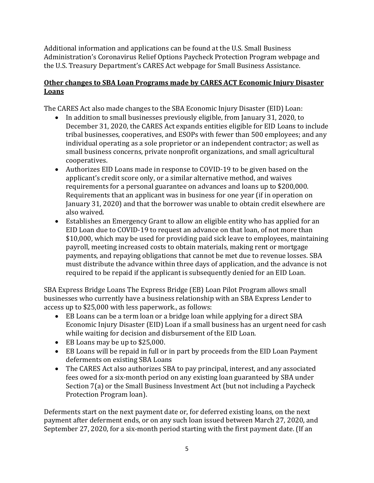Additional information and applications can be found at the U.S. Small Business Administration's Coronavirus Relief Options Paycheck Protection Program webpage and the U.S. Treasury Department's CARES Act webpage for Small Business Assistance.

### **Other changes to SBA Loan Programs made by CARES ACT Economic Injury Disaster Loans**

The CARES Act also made changes to the SBA Economic Injury Disaster (EID) Loan:

- In addition to small businesses previously eligible, from January 31, 2020, to December 31, 2020, the CARES Act expands entities eligible for EID Loans to include tribal businesses, cooperatives, and ESOPs with fewer than 500 employees; and any individual operating as a sole proprietor or an independent contractor; as well as small business concerns, private nonprofit organizations, and small agricultural cooperatives.
- Authorizes EID Loans made in response to COVID-19 to be given based on the applicant's credit score only, or a similar alternative method, and waives requirements for a personal guarantee on advances and loans up to \$200,000. Requirements that an applicant was in business for one year (if in operation on January 31, 2020) and that the borrower was unable to obtain credit elsewhere are also waived.
- Establishes an Emergency Grant to allow an eligible entity who has applied for an EID Loan due to COVID-19 to request an advance on that loan, of not more than \$10,000, which may be used for providing paid sick leave to employees, maintaining payroll, meeting increased costs to obtain materials, making rent or mortgage payments, and repaying obligations that cannot be met due to revenue losses. SBA must distribute the advance within three days of application, and the advance is not required to be repaid if the applicant is subsequently denied for an EID Loan.

SBA Express Bridge Loans The Express Bridge (EB) Loan Pilot Program allows small businesses who currently have a business relationship with an SBA Express Lender to access up to \$25,000 with less paperwork., as follows:

- EB Loans can be a term loan or a bridge loan while applying for a direct SBA Economic Injury Disaster (EID) Loan if a small business has an urgent need for cash while waiting for decision and disbursement of the EID Loan.
- EB Loans may be up to \$25,000.
- EB Loans will be repaid in full or in part by proceeds from the EID Loan Payment deferments on existing SBA Loans
- The CARES Act also authorizes SBA to pay principal, interest, and any associated fees owed for a six-month period on any existing loan guaranteed by SBA under Section 7(a) or the Small Business Investment Act (but not including a Paycheck Protection Program loan).

Deferments start on the next payment date or, for deferred existing loans, on the next payment after deferment ends, or on any such loan issued between March 27, 2020, and September 27, 2020, for a six-month period starting with the first payment date. (If an